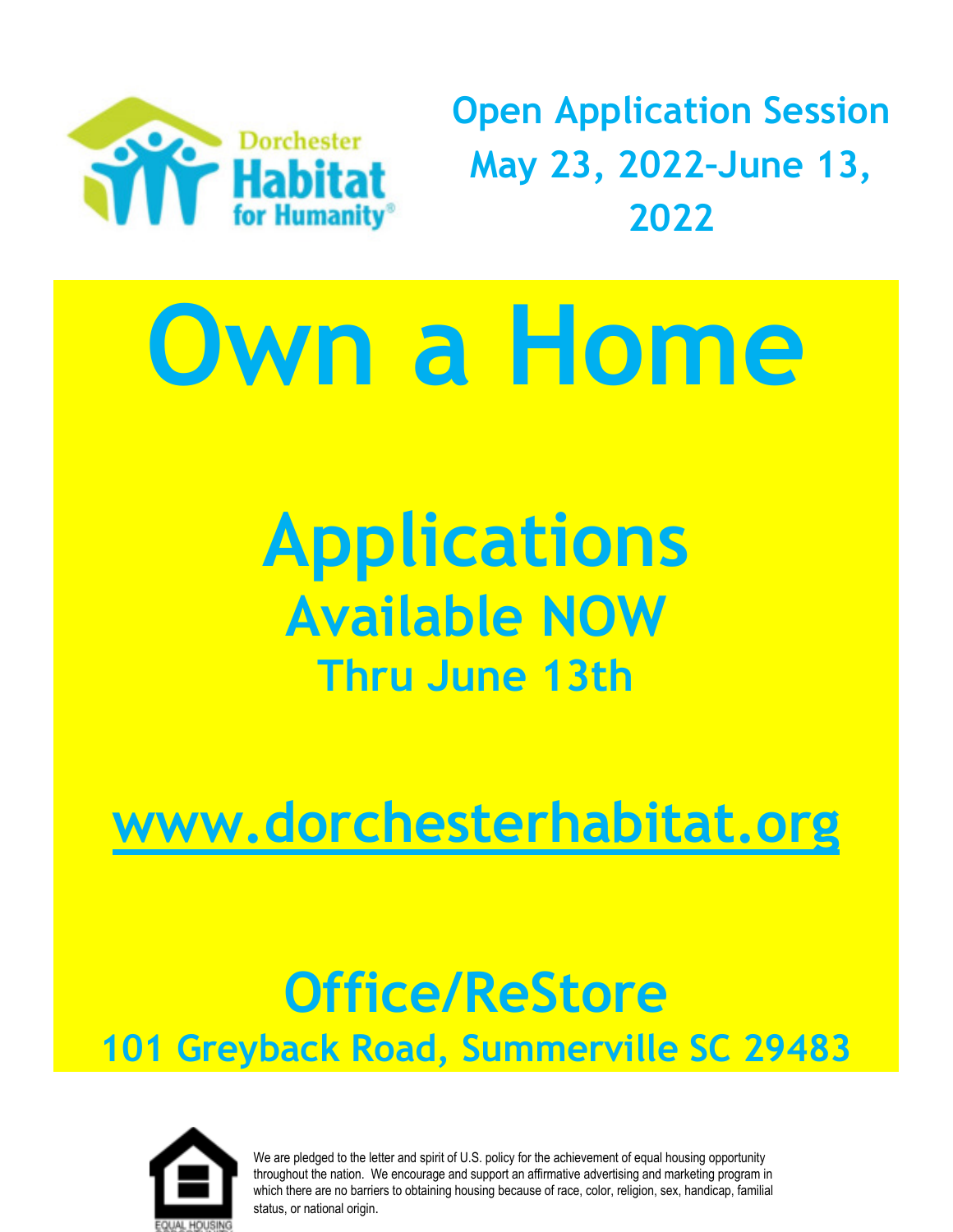

**Open Application Session May 23, 2022–June 13, 2022**

# **Own a Home**

**Applications Available NOW Thru June 13th**

**[www.dorchesterhabitat.org](http://www.dorchesterhabitat.org/)**

# **Office/ReStore 101 Greyback Road, Summerville SC 29483**



We are pledged to the letter and spirit of U.S. policy for the achievement of equal housing opportunity throughout the nation. We encourage and support an affirmative advertising and marketing program in which there are no barriers to obtaining housing because of race, color, religion, sex, handicap, familial status, or national origin.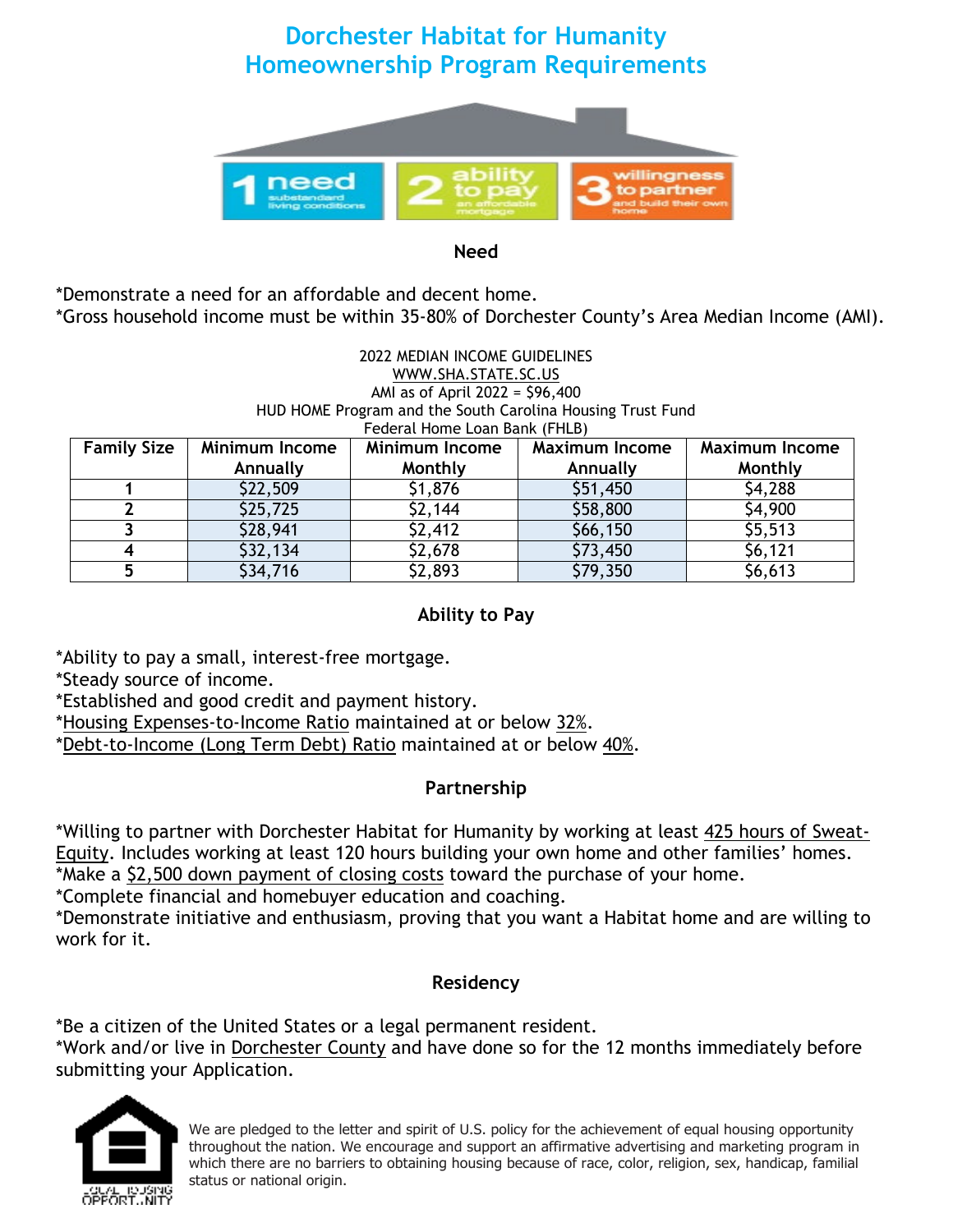# **Dorchester Habitat for Humanity Homeownership Program Requirements**



**Need**

\*Demonstrate a need for an affordable and decent home. \*Gross household income must be within 35-80% of Dorchester County's Area Median Income (AMI).

#### 2022 MEDIAN INCOME GUIDELINES [WWW.SHA.STATE.SC.US](http://www.sha.state.sc.us/) AMI as of April 2022 = \$96,400 HUD HOME Program and the South Carolina Housing Trust Fund Federal Home Loan Bank (FHLB)

| <b>Family Size</b> | <b>Minimum Income</b> | <b>Minimum Income</b> | <b>Maximum Income</b> | <b>Maximum Income</b> |
|--------------------|-----------------------|-----------------------|-----------------------|-----------------------|
|                    | Annually              | Monthly               | Annually              | Monthly               |
|                    | \$22,509              | \$1,876               | \$51,450              | \$4,288               |
|                    | \$25,725              | \$2,144               | \$58,800              | \$4,900               |
|                    | \$28,941              | \$2,412               | \$66,150              | \$5,513               |
|                    | \$32,134              | \$2,678               | \$73,450              | \$6,121               |
|                    | \$34,716              | \$2,893               | \$79,350              | \$6,613               |

#### **Ability to Pay**

\*Ability to pay a small, interest-free mortgage.

\*Steady source of income.

\*Established and good credit and payment history.

\*Housing Expenses-to-Income Ratio maintained at or below 32%.

\*Debt-to-Income (Long Term Debt) Ratio maintained at or below 40%.

#### **Partnership**

\*Willing to partner with Dorchester Habitat for Humanity by working at least 425 hours of Sweat-Equity. Includes working at least 120 hours building your own home and other families' homes. \*Make a \$2,500 down payment of closing costs toward the purchase of your home.

\*Complete financial and homebuyer education and coaching.

\*Demonstrate initiative and enthusiasm, proving that you want a Habitat home and are willing to work for it.

#### **Residency**

\*Be a citizen of the United States or a legal permanent resident.

\*Work and/or live in Dorchester County and have done so for the 12 months immediately before submitting your Application.



We are pledged to the letter and spirit of U.S. policy for the achievement of equal housing opportunity throughout the nation. We encourage and support an affirmative advertising and marketing program in which there are no barriers to obtaining housing because of race, color, religion, sex, handicap, familial status or national origin.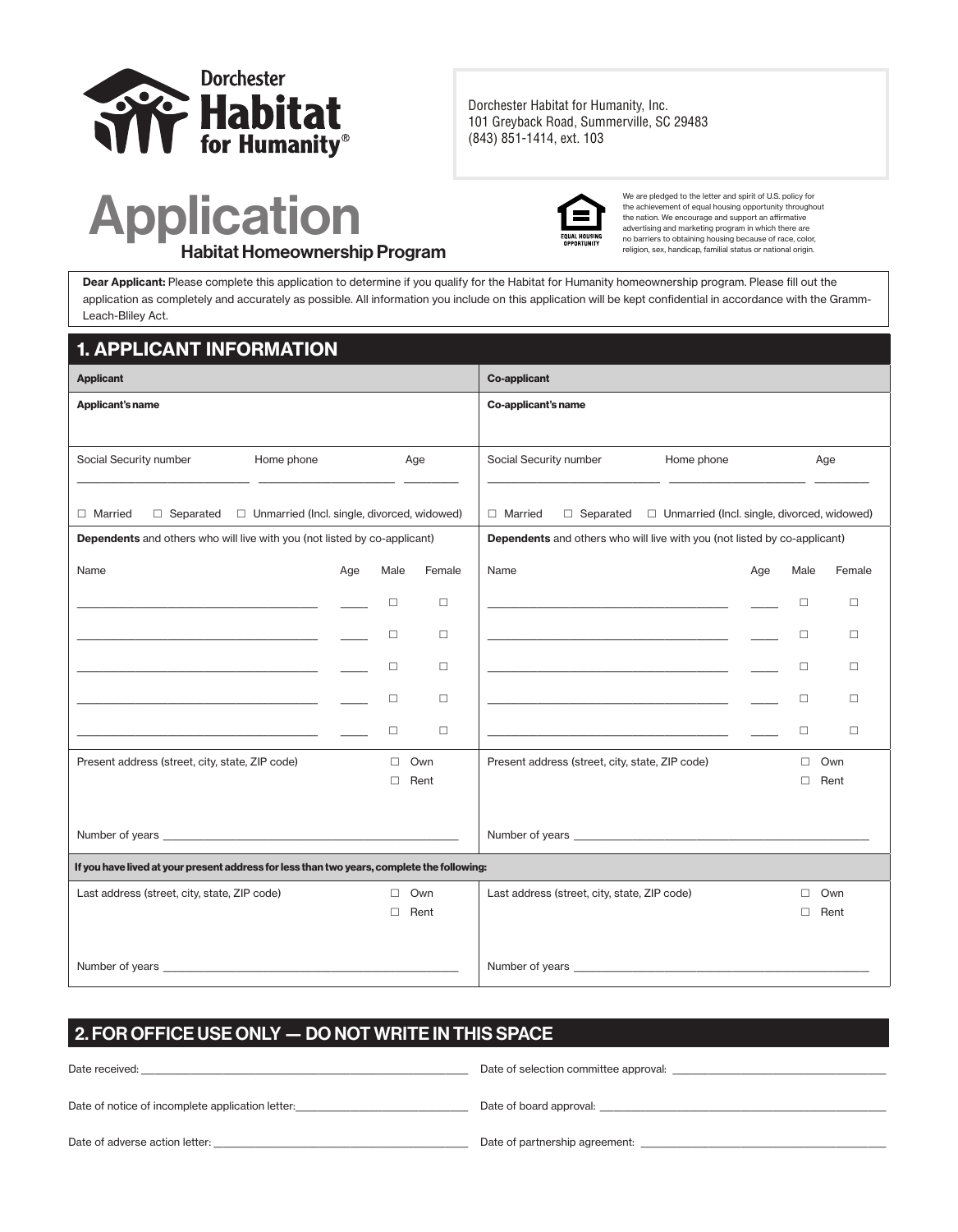

Dorchester Habitat for Humanity, Inc. 101 Greyback Road, Summerville, SC 29483 (843) 851-1414, ext. 103

Application Habitat Homeownership Program



We are pledged to the letter and spirit of U.S. policy for the achievement of equal housing opportunity throughout the nation. We encourage and support an affirmative advertising and marketing program in which there are no barriers to obtaining housing because of race, color, religion, sex, handicap, familial status or national origin.

Dear Applicant: Please complete this application to determine if you qualify for the Habitat for Humanity homeownership program. Please fill out the application as completely and accurately as possible. All information you include on this application will be kept confidential in accordance with the Gramm-Leach-Bliley Act.

#### 1. APPLICANT INFORMATION

| <b>Applicant</b>                                                                           |            |     |        |        | <b>Co-applicant</b>                                                                       |                                                                                                                                                                                                                                |     |        |        |
|--------------------------------------------------------------------------------------------|------------|-----|--------|--------|-------------------------------------------------------------------------------------------|--------------------------------------------------------------------------------------------------------------------------------------------------------------------------------------------------------------------------------|-----|--------|--------|
| Applicant's name                                                                           |            |     |        |        | Co-applicant's name                                                                       |                                                                                                                                                                                                                                |     |        |        |
|                                                                                            |            |     |        |        |                                                                                           |                                                                                                                                                                                                                                |     |        |        |
| Social Security number                                                                     | Home phone |     |        | Age    | Social Security number                                                                    | Home phone                                                                                                                                                                                                                     |     |        | Age    |
|                                                                                            |            |     |        |        |                                                                                           |                                                                                                                                                                                                                                |     |        |        |
| $\Box$ Separated $\Box$ Unmarried (Incl. single, divorced, widowed)<br>$\Box$ Married      |            |     |        |        | $\Box$ Married                                                                            | $\Box$ Separated $\Box$ Unmarried (Incl. single, divorced, widowed)                                                                                                                                                            |     |        |        |
| <b>Dependents</b> and others who will live with you (not listed by co-applicant)           |            |     |        |        |                                                                                           | <b>Dependents</b> and others who will live with you (not listed by co-applicant)                                                                                                                                               |     |        |        |
| Name                                                                                       |            | Age | Male   | Female | Name                                                                                      |                                                                                                                                                                                                                                | Age | Male   | Female |
| the control of the control of the control of the control of the control of                 |            |     | □      | $\Box$ |                                                                                           | the control of the control of the control of the control of the control of                                                                                                                                                     |     | $\Box$ | $\Box$ |
|                                                                                            |            |     | □      | $\Box$ |                                                                                           |                                                                                                                                                                                                                                |     | □      | $\Box$ |
|                                                                                            |            |     | $\Box$ |        |                                                                                           |                                                                                                                                                                                                                                |     | $\Box$ | $\Box$ |
|                                                                                            |            |     |        | $\Box$ |                                                                                           | the control of the control of the control of the control of the control of                                                                                                                                                     |     |        |        |
| the control of the control of the control of the control of the control of                 |            |     | □      | $\Box$ | the control of the control of the control of the control of the control of the control of |                                                                                                                                                                                                                                |     | $\Box$ | $\Box$ |
|                                                                                            |            |     | $\Box$ | $\Box$ |                                                                                           | the control of the control of the control of the control of the control of the control of                                                                                                                                      |     | $\Box$ | $\Box$ |
| Present address (street, city, state, ZIP code)                                            |            |     | $\Box$ | Own    | Present address (street, city, state, ZIP code)                                           |                                                                                                                                                                                                                                |     | $\Box$ | Own    |
|                                                                                            |            |     | п      | Rent   |                                                                                           |                                                                                                                                                                                                                                |     | П      | Rent   |
|                                                                                            |            |     |        |        |                                                                                           |                                                                                                                                                                                                                                |     |        |        |
|                                                                                            |            |     |        |        |                                                                                           |                                                                                                                                                                                                                                |     |        |        |
| If you have lived at your present address for less than two years, complete the following: |            |     |        |        |                                                                                           |                                                                                                                                                                                                                                |     |        |        |
| Last address (street, city, state, ZIP code)                                               |            |     | $\Box$ | Own    | Last address (street, city, state, ZIP code)                                              |                                                                                                                                                                                                                                |     | $\Box$ | Own    |
|                                                                                            |            |     | п      | Rent   |                                                                                           |                                                                                                                                                                                                                                |     | п      | Rent   |
|                                                                                            |            |     |        |        |                                                                                           |                                                                                                                                                                                                                                |     |        |        |
|                                                                                            |            |     |        |        |                                                                                           | Number of years and the state of the state of the state of the state of the state of the state of the state of the state of the state of the state of the state of the state of the state of the state of the state of the sta |     |        |        |

#### 2. FOR OFFICE USE ONLY — DO NOT WRITE IN THIS SPACE

| Date received:                                   | Date of selection committee approval: |
|--------------------------------------------------|---------------------------------------|
| Date of notice of incomplete application letter: | Date of board approval:               |
| Date of adverse action letter:                   | Date of partnership agreement.        |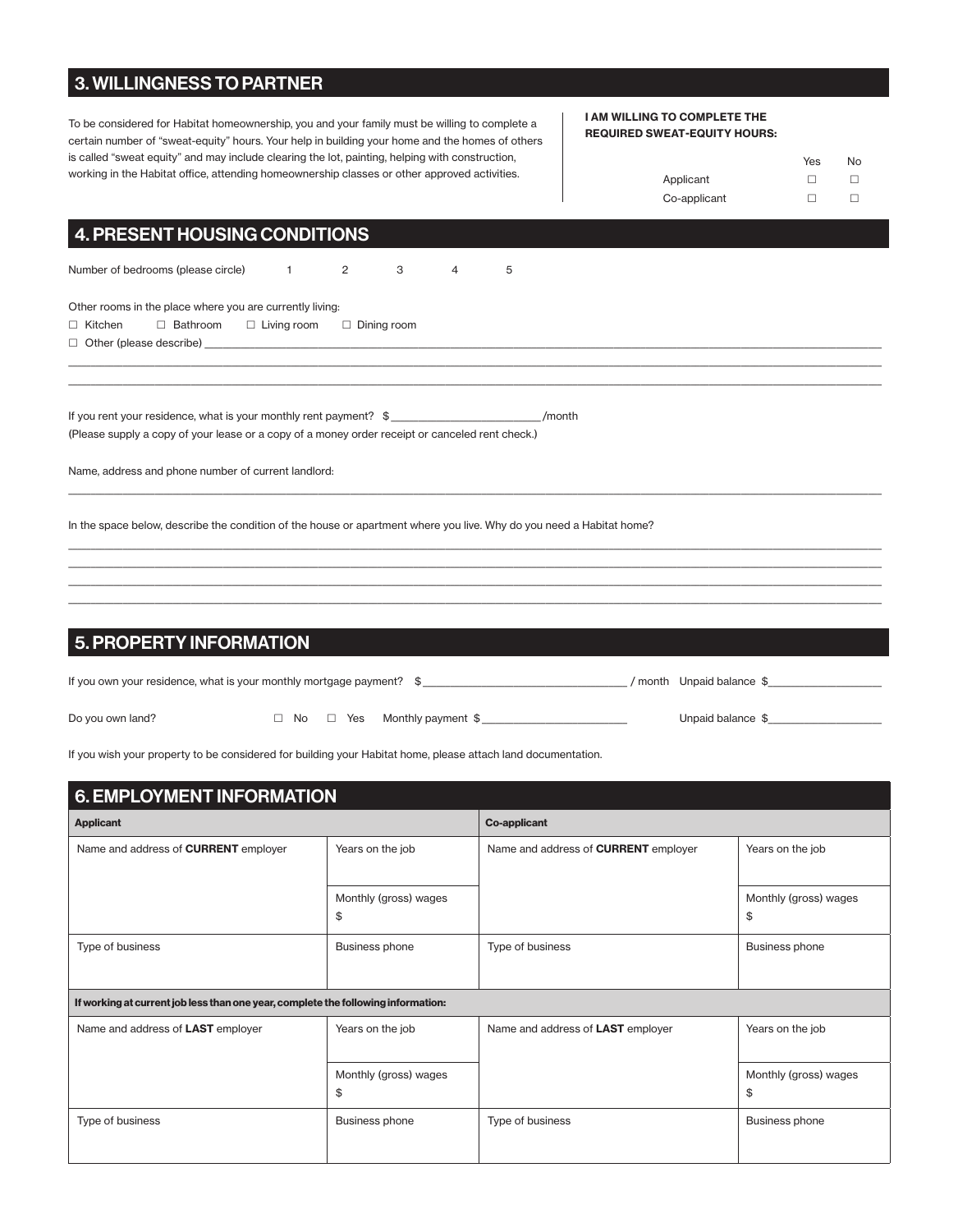#### 3. WILLINGNESS TO PARTNER

To be considered for Habitat homeownership, you and your family must be willing to complete a certain number of "sweat-equity" hours. Your help in building your home and the homes of others is called "sweat equity" and may include clearing the lot, painting, helping with construction, working in the Habitat office, attending homeownership classes or other approved activities.

#### I AM WILLING TO COMPLETE THE REQUIRED SWEAT-EQUITY HOURS:

|              | Yes | No |
|--------------|-----|----|
| Applicant    |     |    |
| Co-applicant |     |    |

#### 4. PRESENT HOUSING CONDITIONS

Number of bedrooms (please circle)  $1$  2 3 4 5

Other rooms in the place where you are currently living:

#### $\Box$  Kitchen  $\Box$  Bathroom  $\Box$  Living room  $\Box$  Dining room

 $\Box$  Other (please describe)

If you rent your residence, what is your monthly rent payment? \$ \_\_\_\_\_\_\_\_\_\_\_\_\_\_\_\_\_\_\_\_\_\_\_\_\_\_\_\_\_\_\_\_\_ /month (Please supply a copy of your lease or a copy of a money order receipt or canceled rent check.)

Name, address and phone number of current landlord:

In the space below, describe the condition of the house or apartment where you live. Why do you need a Habitat home?

#### 5. PROPERTY INFORMATION

| If you own your residence, what is your monthly mortgage payment? \$ |  |                                         | month Unpaid balance \$ |
|----------------------------------------------------------------------|--|-----------------------------------------|-------------------------|
| Do you own land?                                                     |  | $\Box$ No $\Box$ Yes Monthly payment \$ | Unpaid balance \$       |

\_\_\_\_\_\_\_\_\_\_\_\_\_\_\_\_\_\_\_\_\_\_\_\_\_\_\_\_\_\_\_\_\_\_\_\_\_\_\_\_\_\_\_\_\_\_\_\_\_\_\_\_\_\_\_\_\_\_\_\_\_\_\_\_\_\_\_\_\_\_\_\_\_\_\_\_\_\_\_\_\_\_\_\_\_\_\_\_\_\_\_\_\_\_\_\_\_\_\_\_\_\_\_\_\_\_\_\_\_\_\_\_\_\_\_\_\_\_\_\_\_\_\_\_\_\_\_\_\_\_\_\_\_\_\_\_\_\_\_\_\_\_\_\_\_\_\_\_\_\_\_\_\_\_\_\_\_\_\_\_\_\_\_\_\_\_\_\_\_\_\_\_\_\_\_\_\_\_\_ \_\_\_\_\_\_\_\_\_\_\_\_\_\_\_\_\_\_\_\_\_\_\_\_\_\_\_\_\_\_\_\_\_\_\_\_\_\_\_\_\_\_\_\_\_\_\_\_\_\_\_\_\_\_\_\_\_\_\_\_\_\_\_\_\_\_\_\_\_\_\_\_\_\_\_\_\_\_\_\_\_\_\_\_\_\_\_\_\_\_\_\_\_\_\_\_\_\_\_\_\_\_\_\_\_\_\_\_\_\_\_\_\_\_\_\_\_\_\_\_\_\_\_\_\_\_\_\_\_\_\_\_\_\_\_\_\_\_\_\_\_\_\_\_\_\_\_\_\_\_\_\_\_\_\_\_\_\_\_\_\_\_\_\_\_\_\_\_\_\_\_\_\_\_\_\_\_\_\_

\_\_\_\_\_\_\_\_\_\_\_\_\_\_\_\_\_\_\_\_\_\_\_\_\_\_\_\_\_\_\_\_\_\_\_\_\_\_\_\_\_\_\_\_\_\_\_\_\_\_\_\_\_\_\_\_\_\_\_\_\_\_\_\_\_\_\_\_\_\_\_\_\_\_\_\_\_\_\_\_\_\_\_\_\_\_\_\_\_\_\_\_\_\_\_\_\_\_\_\_\_\_\_\_\_\_\_\_\_\_\_\_\_\_\_\_\_\_\_\_\_\_\_\_\_\_\_\_\_\_\_\_\_\_\_\_\_\_\_\_\_\_\_\_\_\_\_\_\_\_\_\_\_\_\_\_\_\_\_\_\_\_\_\_\_\_\_\_\_\_\_\_\_\_\_\_\_\_\_

\_\_\_\_\_\_\_\_\_\_\_\_\_\_\_\_\_\_\_\_\_\_\_\_\_\_\_\_\_\_\_\_\_\_\_\_\_\_\_\_\_\_\_\_\_\_\_\_\_\_\_\_\_\_\_\_\_\_\_\_\_\_\_\_\_\_\_\_\_\_\_\_\_\_\_\_\_\_\_\_\_\_\_\_\_\_\_\_\_\_\_\_\_\_\_\_\_\_\_\_\_\_\_\_\_\_\_\_\_\_\_\_\_\_\_\_\_\_\_\_\_\_\_\_\_\_\_\_\_\_\_\_\_\_\_\_\_\_\_\_\_\_\_\_\_\_\_\_\_\_\_\_\_\_\_\_\_\_\_\_\_\_\_\_\_\_\_\_\_\_\_\_\_\_\_\_\_\_\_ \_\_\_\_\_\_\_\_\_\_\_\_\_\_\_\_\_\_\_\_\_\_\_\_\_\_\_\_\_\_\_\_\_\_\_\_\_\_\_\_\_\_\_\_\_\_\_\_\_\_\_\_\_\_\_\_\_\_\_\_\_\_\_\_\_\_\_\_\_\_\_\_\_\_\_\_\_\_\_\_\_\_\_\_\_\_\_\_\_\_\_\_\_\_\_\_\_\_\_\_\_\_\_\_\_\_\_\_\_\_\_\_\_\_\_\_\_\_\_\_\_\_\_\_\_\_\_\_\_\_\_\_\_\_\_\_\_\_\_\_\_\_\_\_\_\_\_\_\_\_\_\_\_\_\_\_\_\_\_\_\_\_\_\_\_\_\_\_\_\_\_\_\_\_\_\_\_\_\_ \_\_\_\_\_\_\_\_\_\_\_\_\_\_\_\_\_\_\_\_\_\_\_\_\_\_\_\_\_\_\_\_\_\_\_\_\_\_\_\_\_\_\_\_\_\_\_\_\_\_\_\_\_\_\_\_\_\_\_\_\_\_\_\_\_\_\_\_\_\_\_\_\_\_\_\_\_\_\_\_\_\_\_\_\_\_\_\_\_\_\_\_\_\_\_\_\_\_\_\_\_\_\_\_\_\_\_\_\_\_\_\_\_\_\_\_\_\_\_\_\_\_\_\_\_\_\_\_\_\_\_\_\_\_\_\_\_\_\_\_\_\_\_\_\_\_\_\_\_\_\_\_\_\_\_\_\_\_\_\_\_\_\_\_\_\_\_\_\_\_\_\_\_\_\_\_\_\_\_ \_\_\_\_\_\_\_\_\_\_\_\_\_\_\_\_\_\_\_\_\_\_\_\_\_\_\_\_\_\_\_\_\_\_\_\_\_\_\_\_\_\_\_\_\_\_\_\_\_\_\_\_\_\_\_\_\_\_\_\_\_\_\_\_\_\_\_\_\_\_\_\_\_\_\_\_\_\_\_\_\_\_\_\_\_\_\_\_\_\_\_\_\_\_\_\_\_\_\_\_\_\_\_\_\_\_\_\_\_\_\_\_\_\_\_\_\_\_\_\_\_\_\_\_\_\_\_\_\_\_\_\_\_\_\_\_\_\_\_\_\_\_\_\_\_\_\_\_\_\_\_\_\_\_\_\_\_\_\_\_\_\_\_\_\_\_\_\_\_\_\_\_\_\_\_\_\_\_\_

If you wish your property to be considered for building your Habitat home, please attach land documentation.

| 6. EMPLOYMENT INFORMATION                                                         |                             |                                             |                             |  |  |  |  |
|-----------------------------------------------------------------------------------|-----------------------------|---------------------------------------------|-----------------------------|--|--|--|--|
| <b>Applicant</b>                                                                  |                             | <b>Co-applicant</b>                         |                             |  |  |  |  |
| Name and address of <b>CURRENT</b> employer                                       | Years on the job            | Name and address of <b>CURRENT</b> employer | Years on the job            |  |  |  |  |
|                                                                                   | Monthly (gross) wages<br>\$ |                                             | Monthly (gross) wages<br>\$ |  |  |  |  |
| Type of business                                                                  | <b>Business phone</b>       | Type of business                            | <b>Business phone</b>       |  |  |  |  |
| If working at current job less than one year, complete the following information: |                             |                                             |                             |  |  |  |  |
| Name and address of LAST employer                                                 | Years on the job            | Name and address of LAST employer           | Years on the job            |  |  |  |  |
|                                                                                   | Monthly (gross) wages<br>\$ |                                             | Monthly (gross) wages<br>\$ |  |  |  |  |
| Type of business                                                                  | <b>Business phone</b>       | Type of business                            | <b>Business phone</b>       |  |  |  |  |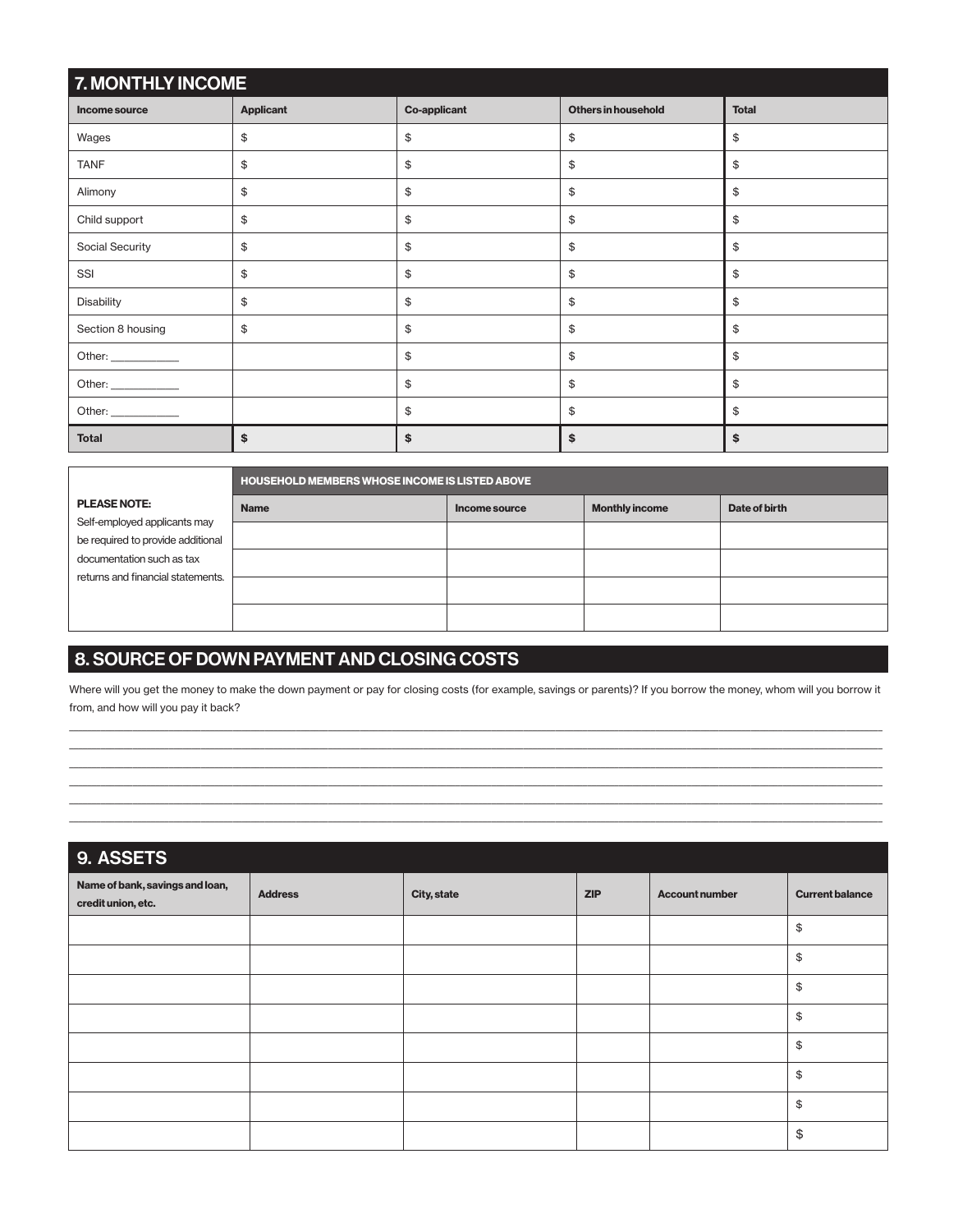| 7. MONTHLY INCOME    |                                                                       |    |              |    |  |  |  |  |
|----------------------|-----------------------------------------------------------------------|----|--------------|----|--|--|--|--|
| Income source        | <b>Others in household</b><br><b>Applicant</b><br><b>Co-applicant</b> |    | <b>Total</b> |    |  |  |  |  |
| Wages                | \$                                                                    | \$ | \$           | \$ |  |  |  |  |
| <b>TANF</b>          | \$                                                                    | \$ | \$           | \$ |  |  |  |  |
| Alimony              | \$                                                                    | \$ | \$           | \$ |  |  |  |  |
| Child support        | \$                                                                    | \$ | \$           | \$ |  |  |  |  |
| Social Security      | \$                                                                    | \$ | \$           | \$ |  |  |  |  |
| SSI                  | \$                                                                    | \$ | \$           | \$ |  |  |  |  |
| Disability           | \$                                                                    | \$ | \$           | \$ |  |  |  |  |
| Section 8 housing    | \$                                                                    | \$ | \$           | \$ |  |  |  |  |
|                      |                                                                       | \$ | \$           | \$ |  |  |  |  |
| Other: _____________ |                                                                       | \$ | \$           | \$ |  |  |  |  |
|                      |                                                                       | \$ | \$           | \$ |  |  |  |  |
| <b>Total</b>         | \$                                                                    | \$ | \$           | \$ |  |  |  |  |

|                                   |             | HOUSEHOLD MEMBERS WHOSE INCOME IS LISTED ABOVE |                       |               |  |  |  |  |  |
|-----------------------------------|-------------|------------------------------------------------|-----------------------|---------------|--|--|--|--|--|
| <b>PLEASE NOTE:</b>               | <b>Name</b> | Income source                                  | <b>Monthly income</b> | Date of birth |  |  |  |  |  |
| Self-employed applicants may      |             |                                                |                       |               |  |  |  |  |  |
| be required to provide additional |             |                                                |                       |               |  |  |  |  |  |
| documentation such as tax         |             |                                                |                       |               |  |  |  |  |  |
| returns and financial statements. |             |                                                |                       |               |  |  |  |  |  |
|                                   |             |                                                |                       |               |  |  |  |  |  |
|                                   |             |                                                |                       |               |  |  |  |  |  |

## 8. SOURCE OF DOWN PAYMENT AND CLOSING COSTS

Where will you get the money to make the down payment or pay for closing costs (for example, savings or parents)? If you borrow the money, whom will you borrow it from, and how will you pay it back? \_\_\_\_\_\_\_\_\_\_\_\_\_\_\_\_\_\_\_\_\_\_\_\_\_\_\_\_\_\_\_\_\_\_\_\_\_\_\_\_\_\_\_\_\_\_\_\_\_\_\_\_\_\_\_\_\_\_\_\_\_\_\_\_\_\_\_\_\_\_\_\_\_\_\_\_\_\_\_\_\_\_\_\_\_\_\_\_\_\_\_\_\_\_\_\_\_\_\_\_\_\_\_\_\_\_\_\_\_\_\_\_\_\_\_\_\_\_\_\_\_\_\_\_\_\_\_\_\_\_\_\_\_\_\_\_\_\_\_\_\_\_\_\_\_\_\_\_\_\_\_\_\_\_\_\_\_\_\_\_\_\_\_\_\_\_\_\_\_\_\_\_\_\_\_\_\_\_\_

\_\_\_\_\_\_\_\_\_\_\_\_\_\_\_\_\_\_\_\_\_\_\_\_\_\_\_\_\_\_\_\_\_\_\_\_\_\_\_\_\_\_\_\_\_\_\_\_\_\_\_\_\_\_\_\_\_\_\_\_\_\_\_\_\_\_\_\_\_\_\_\_\_\_\_\_\_\_\_\_\_\_\_\_\_\_\_\_\_\_\_\_\_\_\_\_\_\_\_\_\_\_\_\_\_\_\_\_\_\_\_\_\_\_\_\_\_\_\_\_\_\_\_\_\_\_\_\_\_\_\_\_\_\_\_\_\_\_\_\_\_\_\_\_\_\_\_\_\_\_\_\_\_\_\_\_\_\_\_\_\_\_\_\_\_\_\_\_\_\_\_\_\_\_\_\_\_\_\_ \_\_\_\_\_\_\_\_\_\_\_\_\_\_\_\_\_\_\_\_\_\_\_\_\_\_\_\_\_\_\_\_\_\_\_\_\_\_\_\_\_\_\_\_\_\_\_\_\_\_\_\_\_\_\_\_\_\_\_\_\_\_\_\_\_\_\_\_\_\_\_\_\_\_\_\_\_\_\_\_\_\_\_\_\_\_\_\_\_\_\_\_\_\_\_\_\_\_\_\_\_\_\_\_\_\_\_\_\_\_\_\_\_\_\_\_\_\_\_\_\_\_\_\_\_\_\_\_\_\_\_\_\_\_\_\_\_\_\_\_\_\_\_\_\_\_\_\_\_\_\_\_\_\_\_\_\_\_\_\_\_\_\_\_\_\_\_\_\_\_\_\_\_\_\_\_\_\_\_ \_\_\_\_\_\_\_\_\_\_\_\_\_\_\_\_\_\_\_\_\_\_\_\_\_\_\_\_\_\_\_\_\_\_\_\_\_\_\_\_\_\_\_\_\_\_\_\_\_\_\_\_\_\_\_\_\_\_\_\_\_\_\_\_\_\_\_\_\_\_\_\_\_\_\_\_\_\_\_\_\_\_\_\_\_\_\_\_\_\_\_\_\_\_\_\_\_\_\_\_\_\_\_\_\_\_\_\_\_\_\_\_\_\_\_\_\_\_\_\_\_\_\_\_\_\_\_\_\_\_\_\_\_\_\_\_\_\_\_\_\_\_\_\_\_\_\_\_\_\_\_\_\_\_\_\_\_\_\_\_\_\_\_\_\_\_\_\_\_\_\_\_\_\_\_\_\_\_\_ \_\_\_\_\_\_\_\_\_\_\_\_\_\_\_\_\_\_\_\_\_\_\_\_\_\_\_\_\_\_\_\_\_\_\_\_\_\_\_\_\_\_\_\_\_\_\_\_\_\_\_\_\_\_\_\_\_\_\_\_\_\_\_\_\_\_\_\_\_\_\_\_\_\_\_\_\_\_\_\_\_\_\_\_\_\_\_\_\_\_\_\_\_\_\_\_\_\_\_\_\_\_\_\_\_\_\_\_\_\_\_\_\_\_\_\_\_\_\_\_\_\_\_\_\_\_\_\_\_\_\_\_\_\_\_\_\_\_\_\_\_\_\_\_\_\_\_\_\_\_\_\_\_\_\_\_\_\_\_\_\_\_\_\_\_\_\_\_\_\_\_\_\_\_\_\_\_\_\_ \_\_\_\_\_\_\_\_\_\_\_\_\_\_\_\_\_\_\_\_\_\_\_\_\_\_\_\_\_\_\_\_\_\_\_\_\_\_\_\_\_\_\_\_\_\_\_\_\_\_\_\_\_\_\_\_\_\_\_\_\_\_\_\_\_\_\_\_\_\_\_\_\_\_\_\_\_\_\_\_\_\_\_\_\_\_\_\_\_\_\_\_\_\_\_\_\_\_\_\_\_\_\_\_\_\_\_\_\_\_\_\_\_\_\_\_\_\_\_\_\_\_\_\_\_\_\_\_\_\_\_\_\_\_\_\_\_\_\_\_\_\_\_\_\_\_\_\_\_\_\_\_\_\_\_\_\_\_\_\_\_\_\_\_\_\_\_\_\_\_\_\_\_\_\_\_\_\_\_

| 9. ASSETS                                             |                |             |            |                       |                        |
|-------------------------------------------------------|----------------|-------------|------------|-----------------------|------------------------|
| Name of bank, savings and loan,<br>credit union, etc. | <b>Address</b> | City, state | <b>ZIP</b> | <b>Account number</b> | <b>Current balance</b> |
|                                                       |                |             |            |                       | $\frac{1}{2}$          |
|                                                       |                |             |            |                       | $\frac{1}{2}$          |
|                                                       |                |             |            |                       | \$                     |
|                                                       |                |             |            |                       | $\frac{1}{2}$          |
|                                                       |                |             |            |                       | \$                     |
|                                                       |                |             |            |                       | \$                     |
|                                                       |                |             |            |                       | \$                     |
|                                                       |                |             |            |                       | \$                     |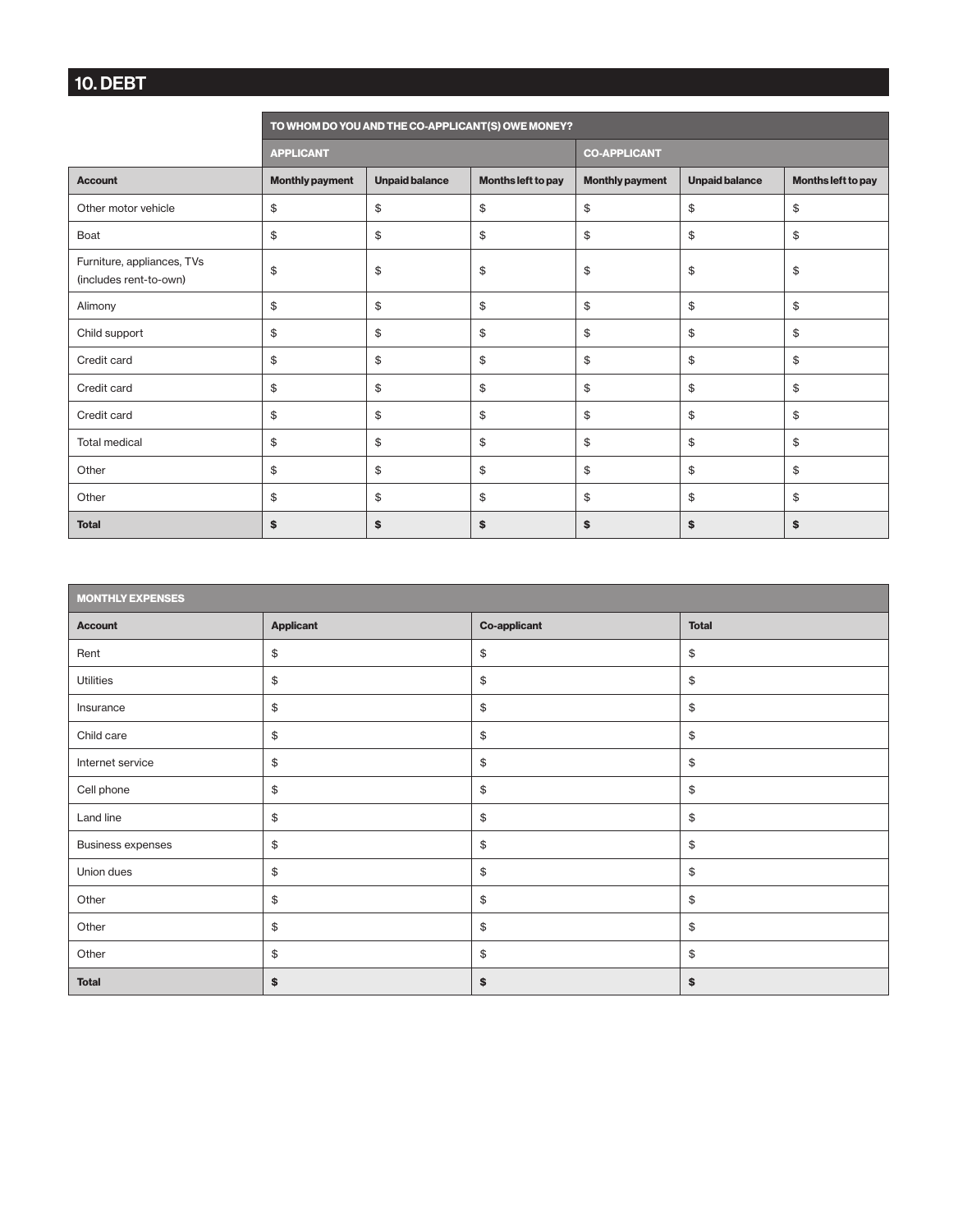### 10. DEBT

|                                                      | TO WHOM DO YOU AND THE CO-APPLICANT(S) OWE MONEY? |                       |                    |                        |                       |                    |  |  |
|------------------------------------------------------|---------------------------------------------------|-----------------------|--------------------|------------------------|-----------------------|--------------------|--|--|
|                                                      | <b>APPLICANT</b>                                  |                       |                    | <b>CO-APPLICANT</b>    |                       |                    |  |  |
| <b>Account</b>                                       | <b>Monthly payment</b>                            | <b>Unpaid balance</b> | Months left to pay | <b>Monthly payment</b> | <b>Unpaid balance</b> | Months left to pay |  |  |
| Other motor vehicle                                  | \$                                                | \$                    | \$                 | \$                     | \$                    | \$                 |  |  |
| Boat                                                 | \$                                                | \$                    | \$                 | \$                     | \$                    | \$                 |  |  |
| Furniture, appliances, TVs<br>(includes rent-to-own) | \$                                                | \$                    | \$                 | \$                     | \$                    | \$                 |  |  |
| Alimony                                              | \$                                                | \$                    | \$                 | \$                     | \$                    | \$                 |  |  |
| Child support                                        | \$                                                | \$                    | \$                 | \$                     | \$                    | \$                 |  |  |
| Credit card                                          | \$                                                | \$                    | \$                 | \$                     | \$                    | \$                 |  |  |
| Credit card                                          | \$                                                | \$                    | \$                 | \$                     | \$                    | \$                 |  |  |
| Credit card                                          | \$                                                | \$                    | \$                 | \$                     | \$                    | \$                 |  |  |
| <b>Total medical</b>                                 | \$                                                | \$                    | \$                 | \$                     | \$                    | \$                 |  |  |
| Other                                                | \$                                                | \$                    | \$                 | \$                     | \$                    | \$                 |  |  |
| Other                                                | \$                                                | \$                    | \$                 | \$                     | \$                    | \$                 |  |  |
| <b>Total</b>                                         | \$                                                | \$                    | \$                 | \$                     | \$                    | \$                 |  |  |

| <b>MONTHLY EXPENSES</b>  |                                           |                     |              |  |  |  |  |  |
|--------------------------|-------------------------------------------|---------------------|--------------|--|--|--|--|--|
| <b>Account</b>           | <b>Applicant</b>                          | <b>Co-applicant</b> | <b>Total</b> |  |  |  |  |  |
| Rent                     | \$                                        | \$                  | \$           |  |  |  |  |  |
| <b>Utilities</b>         | \$                                        | \$                  | \$           |  |  |  |  |  |
| Insurance                | $\, \, \raisebox{12pt}{$\scriptstyle \$}$ | $\mathfrak{S}$      | \$           |  |  |  |  |  |
| Child care               | $\, \, \raisebox{12pt}{$\scriptstyle \$}$ | \$                  | \$           |  |  |  |  |  |
| Internet service         | \$                                        | $\frac{1}{2}$       | \$           |  |  |  |  |  |
| Cell phone               | \$                                        | \$                  | \$           |  |  |  |  |  |
| Land line                | $\frac{1}{2}$                             | $\frac{1}{2}$       | \$           |  |  |  |  |  |
| <b>Business expenses</b> | \$                                        | \$                  | \$           |  |  |  |  |  |
| Union dues               | \$                                        | $\frac{1}{2}$       | \$           |  |  |  |  |  |
| Other                    | \$                                        | \$                  | \$           |  |  |  |  |  |
| Other                    | \$                                        | $\mathfrak{S}$      | \$           |  |  |  |  |  |
| Other                    | \$                                        | \$                  | \$           |  |  |  |  |  |
| <b>Total</b>             | \$                                        | \$                  | \$           |  |  |  |  |  |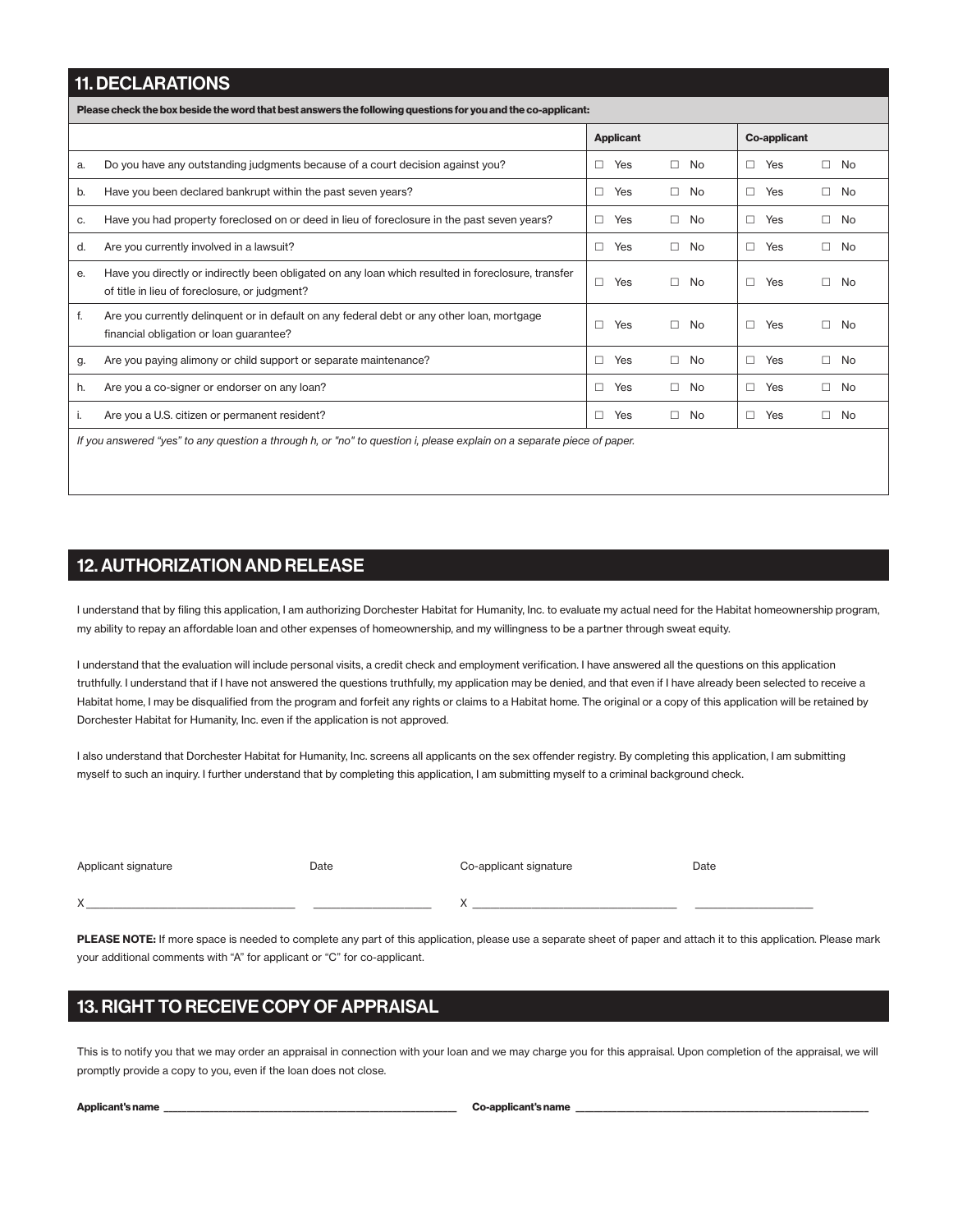#### 11. DECLARATIONS

Please check the box beside the word that best answers the following questions for you and the co-applicant:

|    |                                                                                                                                                     |        | <b>Applicant</b> |        |     |        | <b>Co-applicant</b> |        |              |
|----|-----------------------------------------------------------------------------------------------------------------------------------------------------|--------|------------------|--------|-----|--------|---------------------|--------|--------------|
| a. | Do you have any outstanding judgments because of a court decision against you?                                                                      | □      | Yes              | П.     | No. | П.     | Yes                 | П.     | No           |
| b. | Have you been declared bankrupt within the past seven years?                                                                                        | □      | Yes              | $\Box$ | No  | $\Box$ | Yes                 | $\Box$ | No           |
| C. | Have you had property foreclosed on or deed in lieu of foreclosure in the past seven years?                                                         | $\Box$ | Yes              | $\Box$ | No  | $\Box$ | Yes                 |        | $\Box$ No    |
| d. | Are you currently involved in a lawsuit?                                                                                                            | $\Box$ | Yes              | П.     | No  | П.     | Yes                 |        | $\square$ No |
| е. | Have you directly or indirectly been obligated on any loan which resulted in foreclosure, transfer<br>of title in lieu of foreclosure, or judgment? | $\Box$ | Yes              | П.     | No  | П.     | Yes                 | П.     | No           |
| f. | Are you currently delinguent or in default on any federal debt or any other loan, mortgage<br>financial obligation or loan guarantee?               | $\Box$ | Yes              | П.     | No. | П.     | Yes                 | П.     | No           |
| g. | Are you paying alimony or child support or separate maintenance?                                                                                    | П      | Yes              | $\Box$ | No  | П.     | Yes                 |        | $\square$ No |
| h. | Are you a co-signer or endorser on any loan?                                                                                                        | $\Box$ | Yes              | $\Box$ | No  | $\Box$ | Yes                 | $\Box$ | No           |
|    | Are you a U.S. citizen or permanent resident?                                                                                                       | $\Box$ | Yes              | П.     | No. | $\Box$ | Yes                 | П.     | No           |
|    | If you answered "yes" to any question a through h, or "no" to question i, please explain on a separate piece of paper.                              |        |                  |        |     |        |                     |        |              |

#### 12. AUTHORIZATION AND RELEASE

I understand that by filing this application, I am authorizing Dorchester Habitat for Humanity, Inc. to evaluate my actual need for the Habitat homeownership program, my ability to repay an affordable loan and other expenses of homeownership, and my willingness to be a partner through sweat equity.

I understand that the evaluation will include personal visits, a credit check and employment verification. I have answered all the questions on this application truthfully. I understand that if I have not answered the questions truthfully, my application may be denied, and that even if I have already been selected to receive a Habitat home, I may be disqualified from the program and forfeit any rights or claims to a Habitat home. The original or a copy of this application will be retained by Dorchester Habitat for Humanity, Inc. even if the application is not approved.

I also understand that Dorchester Habitat for Humanity, Inc. screens all applicants on the sex offender registry. By completing this application, I am submitting myself to such an inquiry. I further understand that by completing this application, I am submitting myself to a criminal background check.

| Applicant signature | Date | Co-applicant signature | Date |
|---------------------|------|------------------------|------|
| $\sqrt{}$           |      |                        |      |
|                     |      |                        |      |

PLEASE NOTE: If more space is needed to complete any part of this application, please use a separate sheet of paper and attach it to this application. Please mark your additional comments with "A" for applicant or "C" for co-applicant.

#### 13. RIGHT TO RECEIVE COPY OF APPRAISAL

This is to notify you that we may order an appraisal in connection with your loan and we may charge you for this appraisal. Upon completion of the appraisal, we will promptly provide a copy to you, even if the loan does not close.

| Applicant's name |  |  |
|------------------|--|--|
|------------------|--|--|

Co-applicant's name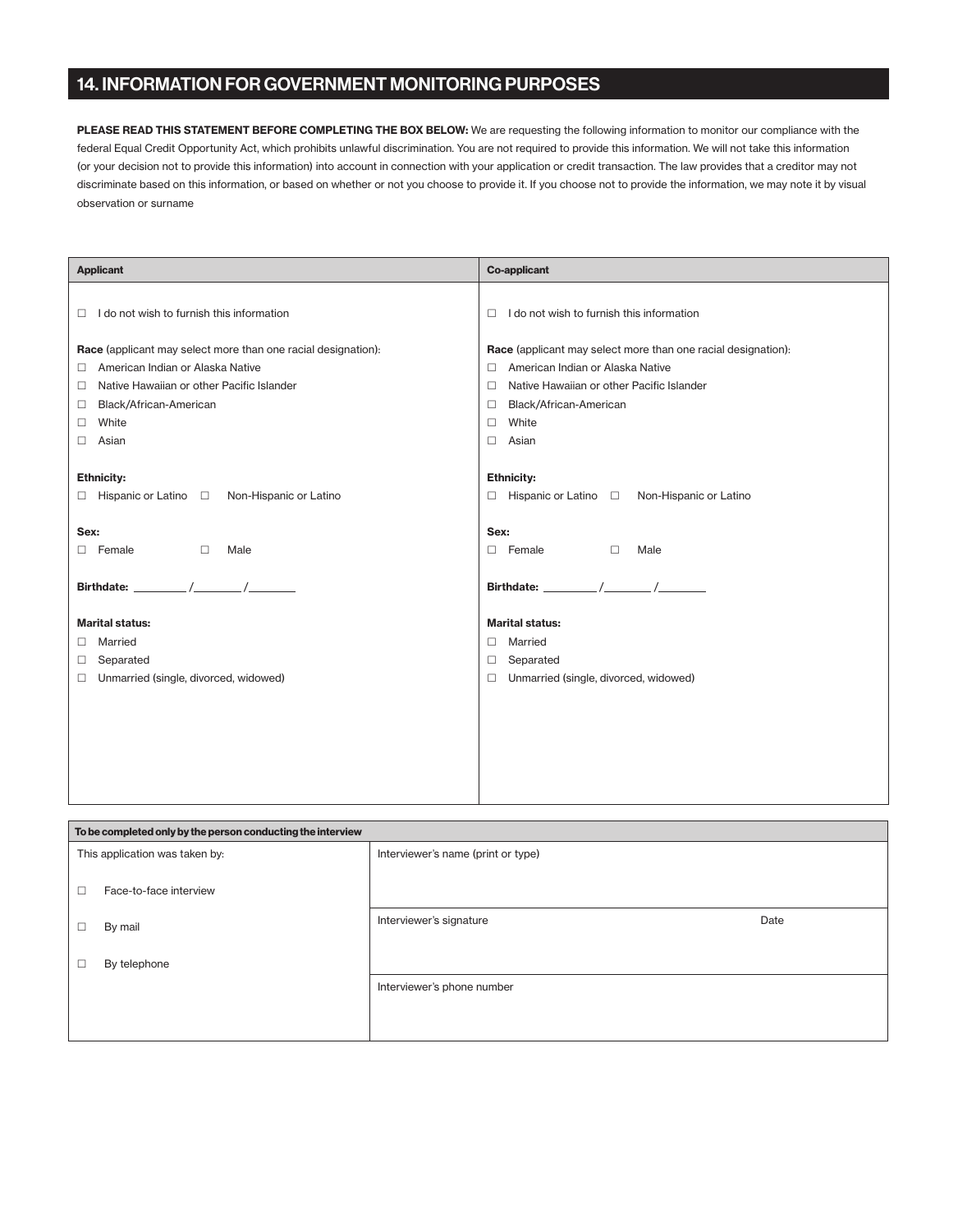#### 14. INFORMATION FOR GOVERNMENT MONITORING PURPOSES

PLEASE READ THIS STATEMENT BEFORE COMPLETING THE BOX BELOW: We are requesting the following information to monitor our compliance with the federal Equal Credit Opportunity Act, which prohibits unlawful discrimination. You are not required to provide this information. We will not take this information (or your decision not to provide this information) into account in connection with your application or credit transaction. The law provides that a creditor may not discriminate based on this information, or based on whether or not you choose to provide it. If you choose not to provide the information, we may note it by visual observation or surname

| <b>Applicant</b>                                              | <b>Co-applicant</b>                                           |  |
|---------------------------------------------------------------|---------------------------------------------------------------|--|
|                                                               |                                                               |  |
| I do not wish to furnish this information<br>□                | I do not wish to furnish this information<br>п                |  |
| Race (applicant may select more than one racial designation): | Race (applicant may select more than one racial designation): |  |
| American Indian or Alaska Native<br>$\Box$                    | American Indian or Alaska Native<br>п                         |  |
| Native Hawaiian or other Pacific Islander<br>□                | Native Hawaiian or other Pacific Islander<br>□                |  |
| Black/African-American<br>$\Box$                              | Black/African-American<br>□                                   |  |
| White<br>0                                                    | White<br>□                                                    |  |
| Asian<br>$\Box$                                               | Asian<br>п                                                    |  |
|                                                               |                                                               |  |
| <b>Ethnicity:</b>                                             | <b>Ethnicity:</b>                                             |  |
| $\Box$ Hispanic or Latino $\Box$ Non-Hispanic or Latino       | $\Box$ Hispanic or Latino $\Box$ Non-Hispanic or Latino       |  |
|                                                               |                                                               |  |
| Sex:                                                          | Sex:                                                          |  |
| $\Box$<br>$\Box$ Female<br>Male                               | $\Box$ Female<br>$\Box$<br>Male                               |  |
|                                                               |                                                               |  |
|                                                               |                                                               |  |
|                                                               |                                                               |  |
| <b>Marital status:</b>                                        | <b>Marital status:</b>                                        |  |
| Married<br>0                                                  | Married<br>П.                                                 |  |
| Separated<br>$\Box$                                           | Separated<br>□                                                |  |
| Unmarried (single, divorced, widowed)<br>$\Box$               | Unmarried (single, divorced, widowed)<br>п                    |  |
|                                                               |                                                               |  |
|                                                               |                                                               |  |
|                                                               |                                                               |  |
|                                                               |                                                               |  |
|                                                               |                                                               |  |
|                                                               |                                                               |  |

| To be completed only by the person conducting the interview |                                    |      |  |
|-------------------------------------------------------------|------------------------------------|------|--|
| This application was taken by:                              | Interviewer's name (print or type) |      |  |
| Face-to-face interview<br>□                                 |                                    |      |  |
| By mail<br>□                                                | Interviewer's signature            | Date |  |
| By telephone<br>□                                           |                                    |      |  |
|                                                             | Interviewer's phone number         |      |  |
|                                                             |                                    |      |  |
|                                                             |                                    |      |  |